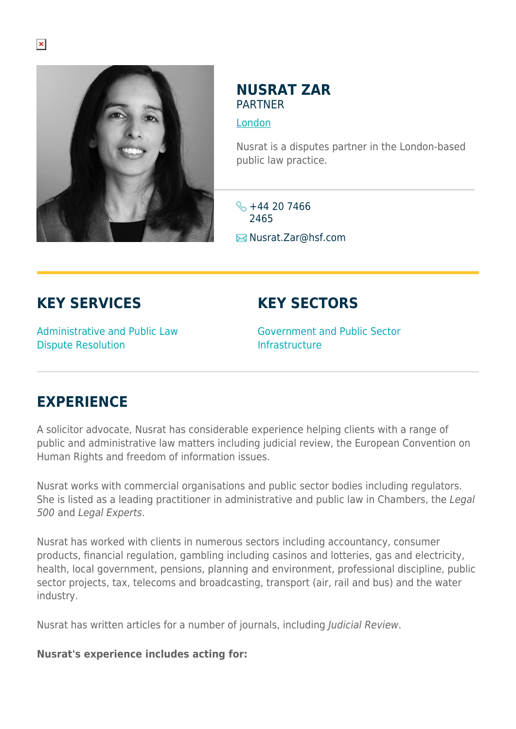

#### **NUSRAT ZAR PARTNER**

[London](https://www.herbertsmithfreehills.com/lang-de/where-we-work/london)

Nusrat is a disputes partner in the London-based public law practice.

 $\frac{1}{2}$  +44 20 7466 2465 **E**Nusrat.Zar@hsf.com

# **KEY SERVICES**

## **KEY SECTORS**

Administrative and Public Law Dispute Resolution

Government and Public Sector Infrastructure

## **EXPERIENCE**

A solicitor advocate, Nusrat has considerable experience helping clients with a range of public and administrative law matters including judicial review, the European Convention on Human Rights and freedom of information issues.

Nusrat works with commercial organisations and public sector bodies including regulators. She is listed as a leading practitioner in administrative and public law in Chambers, the Legal 500 and Legal Experts.

Nusrat has worked with clients in numerous sectors including accountancy, consumer products, financial regulation, gambling including casinos and lotteries, gas and electricity, health, local government, pensions, planning and environment, professional discipline, public sector projects, tax, telecoms and broadcasting, transport (air, rail and bus) and the water industry.

Nusrat has written articles for a number of journals, including Judicial Review.

#### **Nusrat's experience includes acting for:**